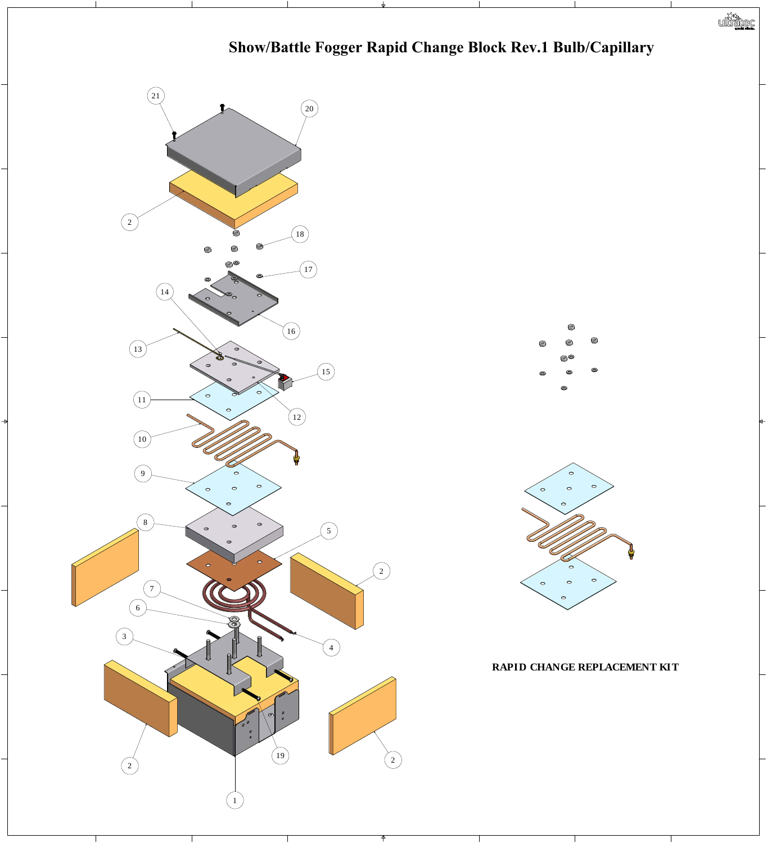

## **Show/Battle Fogger Rapid Change Block Rev.1 Bulb/Capillary**

## **RAPID CHANGE REPLACEMENT KIT**